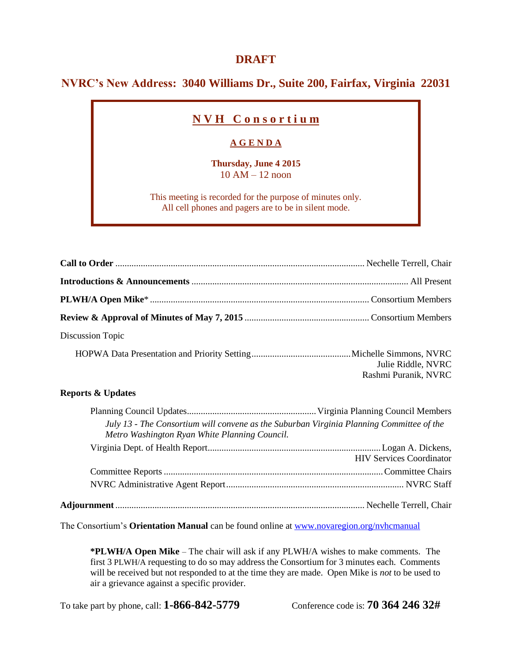## **DRAFT**

## **NVRC's New Address: 3040 Williams Dr., Suite 200, Fairfax, Virginia 22031**

# **N V H C o n s o r t i u m**

### **A G E N D A**

**Thursday, June 4 2015** 10 AM – 12 noon

This meeting is recorded for the purpose of minutes only. All cell phones and pagers are to be in silent mode.

| Discussion Topic |                                            |
|------------------|--------------------------------------------|
|                  | Julie Riddle, NVRC<br>Rashmi Puranik, NVRC |

#### **Reports & Updates**

| Metro Washington Ryan White Planning Council. | July 13 - The Consortium will convene as the Suburban Virginia Planning Committee of the |
|-----------------------------------------------|------------------------------------------------------------------------------------------|
|                                               | <b>HIV Services Coordinator</b>                                                          |
|                                               |                                                                                          |
|                                               |                                                                                          |
|                                               |                                                                                          |

The Consortium's **Orientation Manual** can be found online at [www.novaregion.org/nvhcmanual](http://www.novaregion.org/nvhcmanual)

**\*PLWH/A Open Mike** – The chair will ask if any PLWH/A wishes to make comments. The first 3 PLWH/A requesting to do so may address the Consortium for 3 minutes each. Comments will be received but not responded to at the time they are made. Open Mike is *not* to be used to air a grievance against a specific provider.

To take part by phone, call: **1-866-842-5779** Conference code is: **70 364 246 32#**